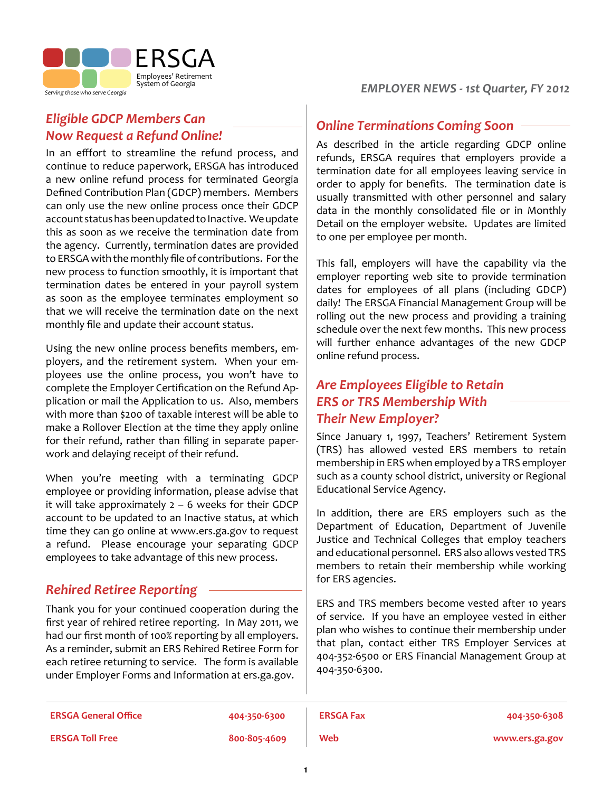

**Serving those who serve Georgia** *Serving those who serve Georgia Serving those who serve Georgia* 

# *Eligible GDCP Members Can Now Request a Refund Online!*

In an efffort to streamline the refund process, and continue to reduce paperwork, ERSGA has introduced a new online refund process for terminated Georgia Defined Contribution Plan (GDCP) members. Members can only use the new online process once their GDCP account status has been updated to Inactive. We update this as soon as we receive the termination date from the agency. Currently, termination dates are provided to ERSGA with the monthly file of contributions. For the new process to function smoothly, it is important that termination dates be entered in your payroll system as soon as the employee terminates employment so that we will receive the termination date on the next monthly file and update their account status.

Using the new online process benefits members, employers, and the retirement system. When your employees use the online process, you won't have to complete the Employer Certification on the Refund Application or mail the Application to us. Also, members with more than \$200 of taxable interest will be able to make a Rollover Election at the time they apply online for their refund, rather than filling in separate paperwork and delaying receipt of their refund.

When you're meeting with a terminating GDCP employee or providing information, please advise that it will take approximately  $2 - 6$  weeks for their GDCP account to be updated to an Inactive status, at which time they can go online at www.ers.ga.gov to request a refund. Please encourage your separating GDCP employees to take advantage of this new process.

# *Rehired Retiree Reporting*

Thank you for your continued cooperation during the first year of rehired retiree reporting. In May 2011, we had our first month of 100% reporting by all employers. As a reminder, submit an ERS Rehired Retiree Form for each retiree returning to service. The form is available under Employer Forms and Information at ers.ga.gov.

### *Online Terminations Coming Soon*

As described in the article regarding GDCP online refunds, ERSGA requires that employers provide a termination date for all employees leaving service in order to apply for benefits. The termination date is usually transmitted with other personnel and salary data in the monthly consolidated file or in Monthly Detail on the employer website. Updates are limited to one per employee per month.

This fall, employers will have the capability via the employer reporting web site to provide termination dates for employees of all plans (including GDCP) daily! The ERSGA Financial Management Group will be rolling out the new process and providing a training schedule over the next few months. This new process will further enhance advantages of the new GDCP online refund process.

# *Are Employees Eligible to Retain ERS or TRS Membership With Their New Employer?*

Since January 1, 1997, Teachers' Retirement System (TRS) has allowed vested ERS members to retain membership in ERS when employed by a TRS employer such as a county school district, university or Regional Educational Service Agency.

In addition, there are ERS employers such as the Department of Education, Department of Juvenile Justice and Technical Colleges that employ teachers and educational personnel. ERS also allows vested TRS members to retain their membership while working for ERS agencies.

ERS and TRS members become vested after 10 years of service. If you have an employee vested in either plan who wishes to continue their membership under that plan, contact either TRS Employer Services at 404-352-6500 or ERS Financial Management Group at 404-350-6300.

| <b>ERSGA General Office</b> | 404-350-6300 | <b>ERSGA Fax</b> | 404-350-6308   |
|-----------------------------|--------------|------------------|----------------|
| <b>ERSGA Toll Free</b>      | 800-805-4609 | Web              | www.ers.ga.gov |